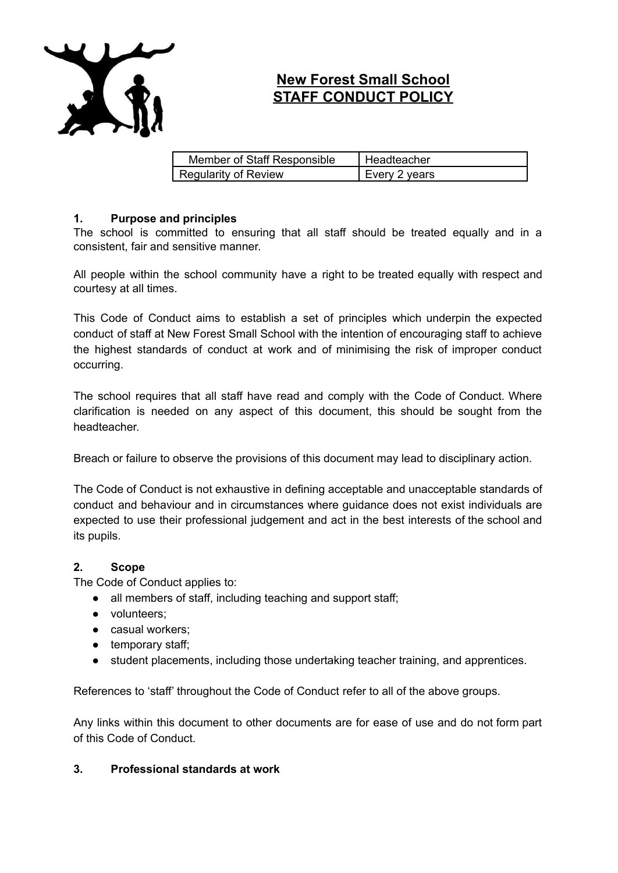

# **New Forest Small School STAFF CONDUCT POLICY**

| Member of Staff Responsible | Headteacher   |
|-----------------------------|---------------|
| Regularity of Review        | Every 2 years |

# **1. Purpose and principles**

The school is committed to ensuring that all staff should be treated equally and in a consistent, fair and sensitive manner.

All people within the school community have a right to be treated equally with respect and courtesy at all times.

This Code of Conduct aims to establish a set of principles which underpin the expected conduct of staff at New Forest Small School with the intention of encouraging staff to achieve the highest standards of conduct at work and of minimising the risk of improper conduct occurring.

The school requires that all staff have read and comply with the Code of Conduct. Where clarification is needed on any aspect of this document, this should be sought from the headteacher.

Breach or failure to observe the provisions of this document may lead to disciplinary action.

The Code of Conduct is not exhaustive in defining acceptable and unacceptable standards of conduct and behaviour and in circumstances where guidance does not exist individuals are expected to use their professional judgement and act in the best interests of the school and its pupils.

## **2. Scope**

The Code of Conduct applies to:

- all members of staff, including teaching and support staff;
- volunteers;
- casual workers;
- temporary staff;
- student placements, including those undertaking teacher training, and apprentices.

References to 'staff' throughout the Code of Conduct refer to all of the above groups.

Any links within this document to other documents are for ease of use and do not form part of this Code of Conduct.

## **3. Professional standards at work**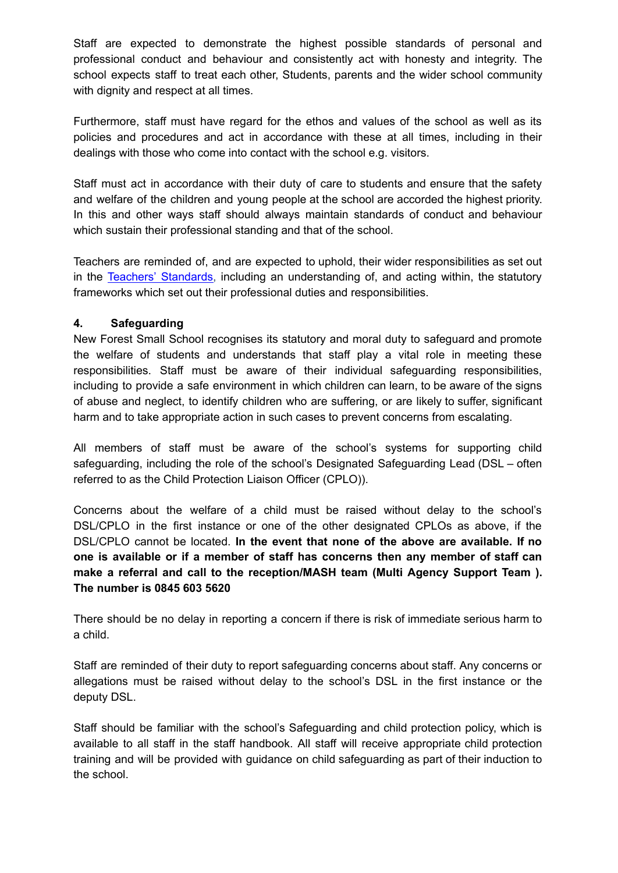Staff are expected to demonstrate the highest possible standards of personal and professional conduct and behaviour and consistently act with honesty and integrity. The school expects staff to treat each other, Students, parents and the wider school community with dignity and respect at all times.

Furthermore, staff must have regard for the ethos and values of the school as well as its policies and procedures and act in accordance with these at all times, including in their dealings with those who come into contact with the school e.g. visitors.

Staff must act in accordance with their duty of care to students and ensure that the safety and welfare of the children and young people at the school are accorded the highest priority. In this and other ways staff should always maintain standards of conduct and behaviour which sustain their professional standing and that of the school.

Teachers are reminded of, and are expected to uphold, their wider responsibilities as set out in the Teachers' [Standards,](https://www.gov.uk/government/uploads/system/uploads/attachment_data/file/301107/Teachers__Standards.pdf) including an understanding of, and acting within, the statutory frameworks which set out their professional duties and responsibilities.

# **4. Safeguarding**

New Forest Small School recognises its statutory and moral duty to safeguard and promote the welfare of students and understands that staff play a vital role in meeting these responsibilities. Staff must be aware of their individual safeguarding responsibilities, including to provide a safe environment in which children can learn, to be aware of the signs of abuse and neglect, to identify children who are suffering, or are likely to suffer, significant harm and to take appropriate action in such cases to prevent concerns from escalating.

All members of staff must be aware of the school's systems for supporting child safeguarding, including the role of the school's Designated Safeguarding Lead (DSL – often referred to as the Child Protection Liaison Officer (CPLO)).

Concerns about the welfare of a child must be raised without delay to the school's DSL/CPLO in the first instance or one of the other designated CPLOs as above, if the DSL/CPLO cannot be located. **In the event that none of the above are available. If no one is available or if a member of staff has concerns then any member of staff can make a referral and call to the reception/MASH team (Multi Agency Support Team ). The number is 0845 603 5620**

There should be no delay in reporting a concern if there is risk of immediate serious harm to a child.

Staff are reminded of their duty to report safeguarding concerns about staff. Any concerns or allegations must be raised without delay to the school's DSL in the first instance or the deputy DSL.

Staff should be familiar with the school's Safeguarding and child protection policy, which is available to all staff in the staff handbook. All staff will receive appropriate child protection training and will be provided with guidance on child safeguarding as part of their induction to the school.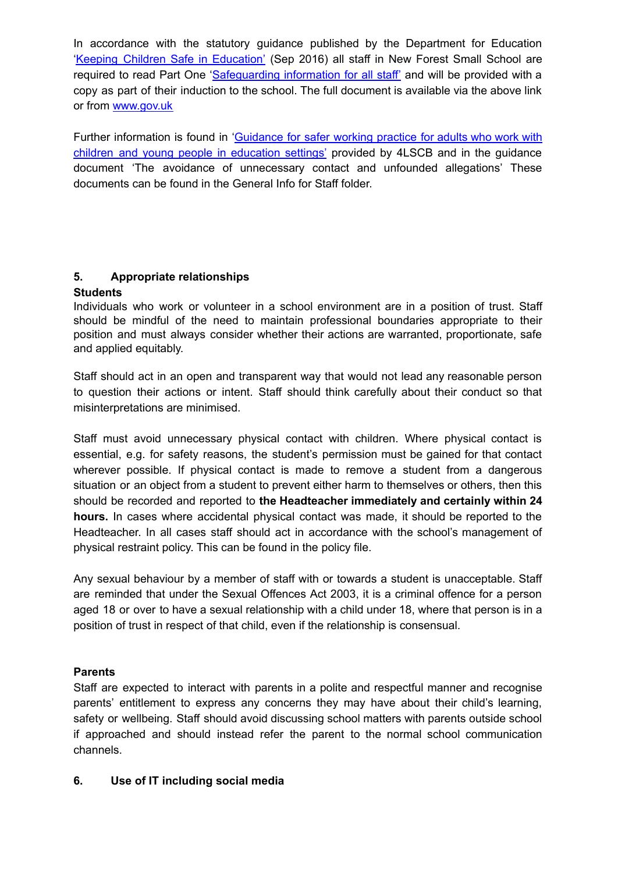In accordance with the statutory guidance published by the Department for Education 'Keeping Children Safe in [Education'](https://www.gov.uk/government/uploads/system/uploads/attachment_data/file/300309/KCSIE_gdnce_FINAL.pdf) (Sep 2016) all staff in New Forest Small School are required to read Part One '[Safeguarding](https://www.gov.uk/government/uploads/system/uploads/attachment_data/file/300319/KCSIE_FINAL_8PG.pdf) information for all staff' and will be provided with a copy as part of their induction to the school. The full document is available via the above link or from [www.gov.uk](http://www.gov.uk)

Further information is found in ['Guidance](http://4lscb.proceduresonline.com/chapters/p_alleg_staff.html) for safer working practice for adults who work with children and young people in [education](http://4lscb.proceduresonline.com/chapters/p_alleg_staff.html) settings' provided by 4LSCB and in the guidance document 'The avoidance of unnecessary contact and unfounded allegations' These documents can be found in the General Info for Staff folder.

# **5. Appropriate relationships**

# **Students**

Individuals who work or volunteer in a school environment are in a position of trust. Staff should be mindful of the need to maintain professional boundaries appropriate to their position and must always consider whether their actions are warranted, proportionate, safe and applied equitably.

Staff should act in an open and transparent way that would not lead any reasonable person to question their actions or intent. Staff should think carefully about their conduct so that misinterpretations are minimised.

Staff must avoid unnecessary physical contact with children. Where physical contact is essential, e.g. for safety reasons, the student's permission must be gained for that contact wherever possible. If physical contact is made to remove a student from a dangerous situation or an object from a student to prevent either harm to themselves or others, then this should be recorded and reported to **the Headteacher immediately and certainly within 24 hours.** In cases where accidental physical contact was made, it should be reported to the Headteacher. In all cases staff should act in accordance with the school's management of physical restraint policy. This can be found in the policy file.

Any sexual behaviour by a member of staff with or towards a student is unacceptable. Staff are reminded that under the Sexual Offences Act 2003, it is a criminal offence for a person aged 18 or over to have a sexual relationship with a child under 18, where that person is in a position of trust in respect of that child, even if the relationship is consensual.

# **Parents**

Staff are expected to interact with parents in a polite and respectful manner and recognise parents' entitlement to express any concerns they may have about their child's learning, safety or wellbeing. Staff should avoid discussing school matters with parents outside school if approached and should instead refer the parent to the normal school communication channels.

# **6. Use of IT including social media**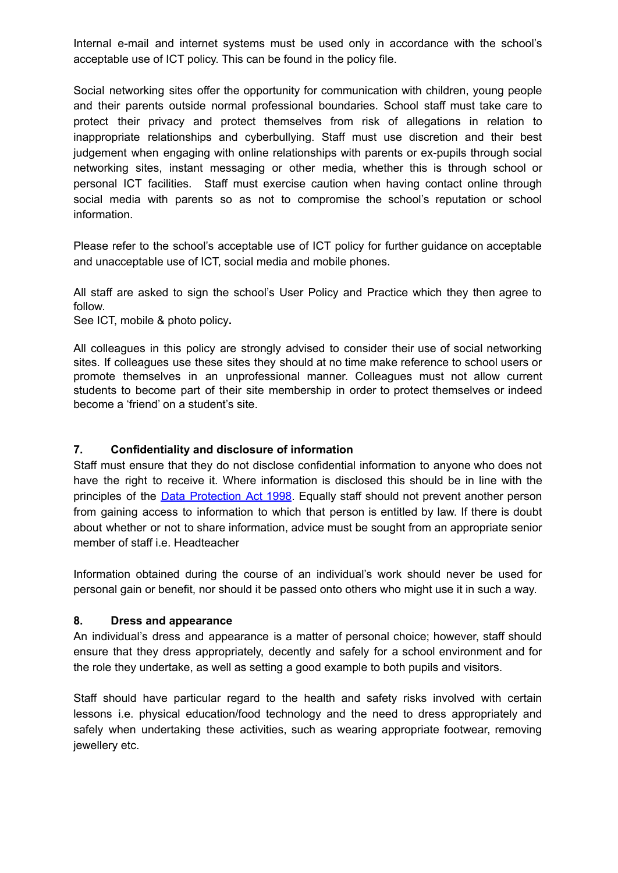Internal e-mail and internet systems must be used only in accordance with the school's acceptable use of ICT policy. This can be found in the policy file.

Social networking sites offer the opportunity for communication with children, young people and their parents outside normal professional boundaries. School staff must take care to protect their privacy and protect themselves from risk of allegations in relation to inappropriate relationships and cyberbullying. Staff must use discretion and their best judgement when engaging with online relationships with parents or ex-pupils through social networking sites, instant messaging or other media, whether this is through school or personal ICT facilities. Staff must exercise caution when having contact online through social media with parents so as not to compromise the school's reputation or school information.

Please refer to the school's acceptable use of ICT policy for further guidance on acceptable and unacceptable use of ICT, social media and mobile phones.

All staff are asked to sign the school's User Policy and Practice which they then agree to follow.

See ICT, mobile & photo policy**.**

All colleagues in this policy are strongly advised to consider their use of social networking sites. If colleagues use these sites they should at no time make reference to school users or promote themselves in an unprofessional manner. Colleagues must not allow current students to become part of their site membership in order to protect themselves or indeed become a 'friend' on a student's site.

## **7. Confidentiality and disclosure of information**

Staff must ensure that they do not disclose confidential information to anyone who does not have the right to receive it. Where information is disclosed this should be in line with the principles of the **Data [Protection](http://www.legislation.gov.uk/ukpga/1998/29/contents) Act 1998**. Equally staff should not prevent another person from gaining access to information to which that person is entitled by law. If there is doubt about whether or not to share information, advice must be sought from an appropriate senior member of staff i.e. Headteacher

Information obtained during the course of an individual's work should never be used for personal gain or benefit, nor should it be passed onto others who might use it in such a way.

## **8. Dress and appearance**

An individual's dress and appearance is a matter of personal choice; however, staff should ensure that they dress appropriately, decently and safely for a school environment and for the role they undertake, as well as setting a good example to both pupils and visitors.

Staff should have particular regard to the health and safety risks involved with certain lessons i.e. physical education/food technology and the need to dress appropriately and safely when undertaking these activities, such as wearing appropriate footwear, removing jewellery etc.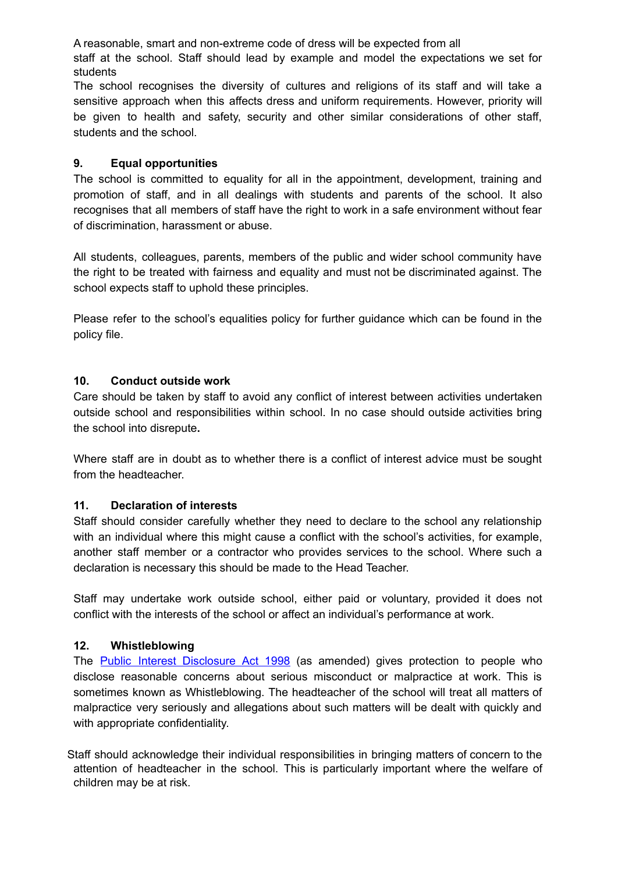A reasonable, smart and non-extreme code of dress will be expected from all

staff at the school. Staff should lead by example and model the expectations we set for students

The school recognises the diversity of cultures and religions of its staff and will take a sensitive approach when this affects dress and uniform requirements. However, priority will be given to health and safety, security and other similar considerations of other staff, students and the school.

# **9. Equal opportunities**

The school is committed to equality for all in the appointment, development, training and promotion of staff, and in all dealings with students and parents of the school. It also recognises that all members of staff have the right to work in a safe environment without fear of discrimination, harassment or abuse.

All students, colleagues, parents, members of the public and wider school community have the right to be treated with fairness and equality and must not be discriminated against. The school expects staff to uphold these principles.

Please refer to the school's equalities policy for further guidance which can be found in the policy file.

# **10. Conduct outside work**

Care should be taken by staff to avoid any conflict of interest between activities undertaken outside school and responsibilities within school. In no case should outside activities bring the school into disrepute**.**

Where staff are in doubt as to whether there is a conflict of interest advice must be sought from the headteacher.

# **11. Declaration of interests**

Staff should consider carefully whether they need to declare to the school any relationship with an individual where this might cause a conflict with the school's activities, for example, another staff member or a contractor who provides services to the school. Where such a declaration is necessary this should be made to the Head Teacher.

Staff may undertake work outside school, either paid or voluntary, provided it does not conflict with the interests of the school or affect an individual's performance at work.

# **12. Whistleblowing**

The **Public Interest [Disclosure](http://www.legislation.gov.uk/ukpga/1998/23/contents) Act 1998** (as amended) gives protection to people who disclose reasonable concerns about serious misconduct or malpractice at work. This is sometimes known as Whistleblowing. The headteacher of the school will treat all matters of malpractice very seriously and allegations about such matters will be dealt with quickly and with appropriate confidentiality.

Staff should acknowledge their individual responsibilities in bringing matters of concern to the attention of headteacher in the school. This is particularly important where the welfare of children may be at risk.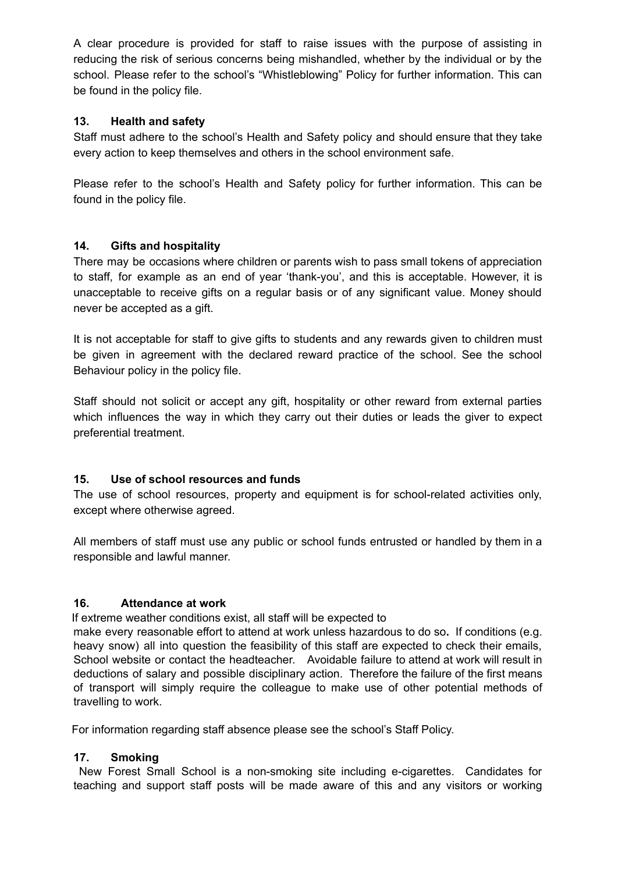A clear procedure is provided for staff to raise issues with the purpose of assisting in reducing the risk of serious concerns being mishandled, whether by the individual or by the school. Please refer to the school's "Whistleblowing" Policy for further information. This can be found in the policy file.

# **13. Health and safety**

Staff must adhere to the school's Health and Safety policy and should ensure that they take every action to keep themselves and others in the school environment safe.

Please refer to the school's Health and Safety policy for further information. This can be found in the policy file.

# **14. Gifts and hospitality**

There may be occasions where children or parents wish to pass small tokens of appreciation to staff, for example as an end of year 'thank-you', and this is acceptable. However, it is unacceptable to receive gifts on a regular basis or of any significant value. Money should never be accepted as a gift.

It is not acceptable for staff to give gifts to students and any rewards given to children must be given in agreement with the declared reward practice of the school. See the school Behaviour policy in the policy file.

Staff should not solicit or accept any gift, hospitality or other reward from external parties which influences the way in which they carry out their duties or leads the giver to expect preferential treatment.

# **15. Use of school resources and funds**

The use of school resources, property and equipment is for school-related activities only, except where otherwise agreed.

All members of staff must use any public or school funds entrusted or handled by them in a responsible and lawful manner.

# **16. Attendance at work**

If extreme weather conditions exist, all staff will be expected to

make every reasonable effort to attend at work unless hazardous to do so**.** If conditions (e.g. heavy snow) all into question the feasibility of this staff are expected to check their emails, School website or contact the headteacher. Avoidable failure to attend at work will result in deductions of salary and possible disciplinary action. Therefore the failure of the first means of transport will simply require the colleague to make use of other potential methods of travelling to work.

For information regarding staff absence please see the school's Staff Policy.

## **17. Smoking**

New Forest Small School is a non-smoking site including e-cigarettes. Candidates for teaching and support staff posts will be made aware of this and any visitors or working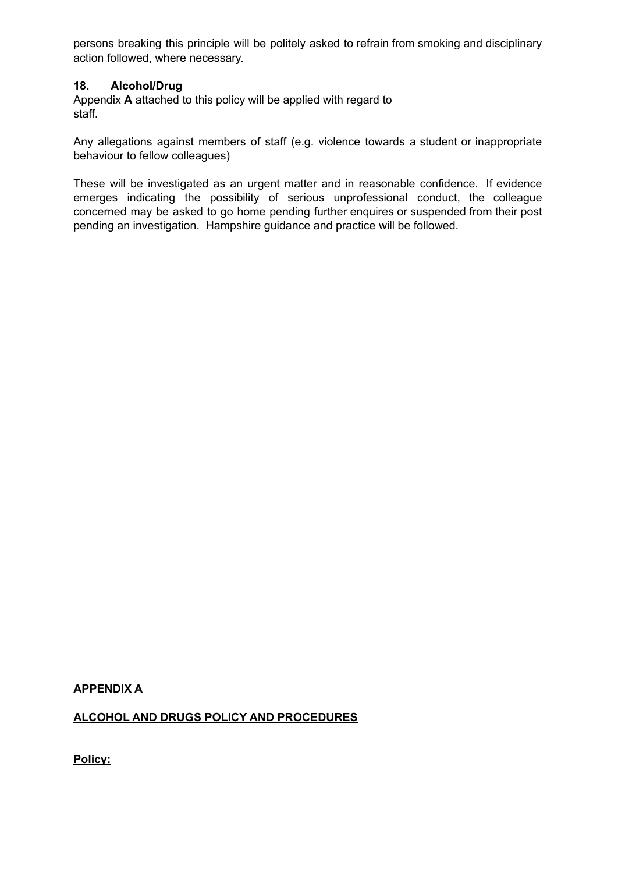persons breaking this principle will be politely asked to refrain from smoking and disciplinary action followed, where necessary.

## **18. Alcohol/Drug**

Appendix **A** attached to this policy will be applied with regard to staff.

Any allegations against members of staff (e.g. violence towards a student or inappropriate behaviour to fellow colleagues)

These will be investigated as an urgent matter and in reasonable confidence. If evidence emerges indicating the possibility of serious unprofessional conduct, the colleague concerned may be asked to go home pending further enquires or suspended from their post pending an investigation. Hampshire guidance and practice will be followed.

**APPENDIX A**

**ALCOHOL AND DRUGS POLICY AND PROCEDURES**

**Policy:**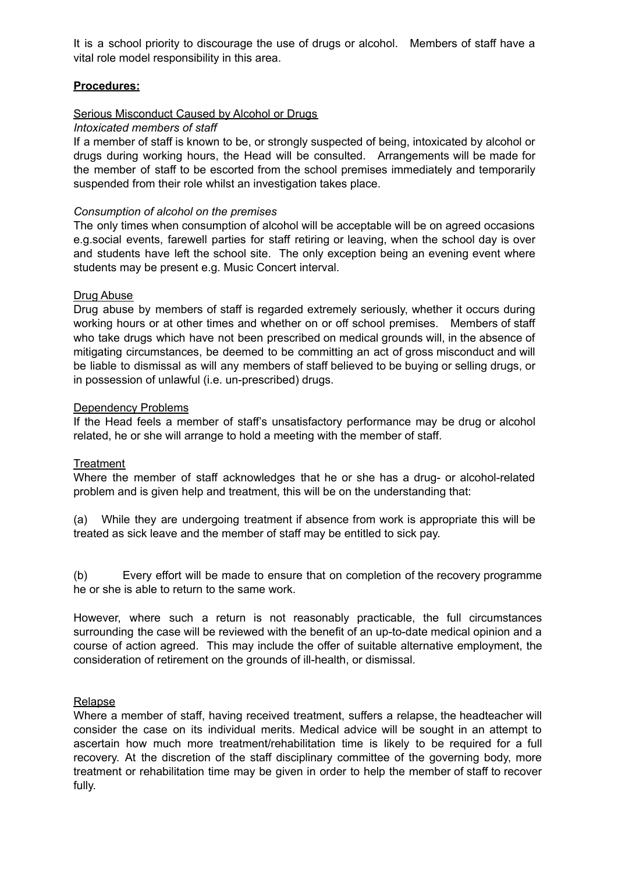It is a school priority to discourage the use of drugs or alcohol. Members of staff have a vital role model responsibility in this area.

## **Procedures:**

## Serious Misconduct Caused by Alcohol or Drugs

## *Intoxicated members of staff*

If a member of staff is known to be, or strongly suspected of being, intoxicated by alcohol or drugs during working hours, the Head will be consulted. Arrangements will be made for the member of staff to be escorted from the school premises immediately and temporarily suspended from their role whilst an investigation takes place.

## *Consumption of alcohol on the premises*

The only times when consumption of alcohol will be acceptable will be on agreed occasions e.g.social events, farewell parties for staff retiring or leaving, when the school day is over and students have left the school site. The only exception being an evening event where students may be present e.g. Music Concert interval.

## Drug Abuse

Drug abuse by members of staff is regarded extremely seriously, whether it occurs during working hours or at other times and whether on or off school premises. Members of staff who take drugs which have not been prescribed on medical grounds will, in the absence of mitigating circumstances, be deemed to be committing an act of gross misconduct and will be liable to dismissal as will any members of staff believed to be buying or selling drugs, or in possession of unlawful (i.e. un-prescribed) drugs.

## Dependency Problems

If the Head feels a member of staff's unsatisfactory performance may be drug or alcohol related, he or she will arrange to hold a meeting with the member of staff.

## **Treatment**

Where the member of staff acknowledges that he or she has a drug- or alcohol-related problem and is given help and treatment, this will be on the understanding that:

(a) While they are undergoing treatment if absence from work is appropriate this will be treated as sick leave and the member of staff may be entitled to sick pay.

(b) Every effort will be made to ensure that on completion of the recovery programme he or she is able to return to the same work.

However, where such a return is not reasonably practicable, the full circumstances surrounding the case will be reviewed with the benefit of an up-to-date medical opinion and a course of action agreed. This may include the offer of suitable alternative employment, the consideration of retirement on the grounds of ill-health, or dismissal.

## Relapse

Where a member of staff, having received treatment, suffers a relapse, the headteacher will consider the case on its individual merits. Medical advice will be sought in an attempt to ascertain how much more treatment/rehabilitation time is likely to be required for a full recovery. At the discretion of the staff disciplinary committee of the governing body, more treatment or rehabilitation time may be given in order to help the member of staff to recover fully.